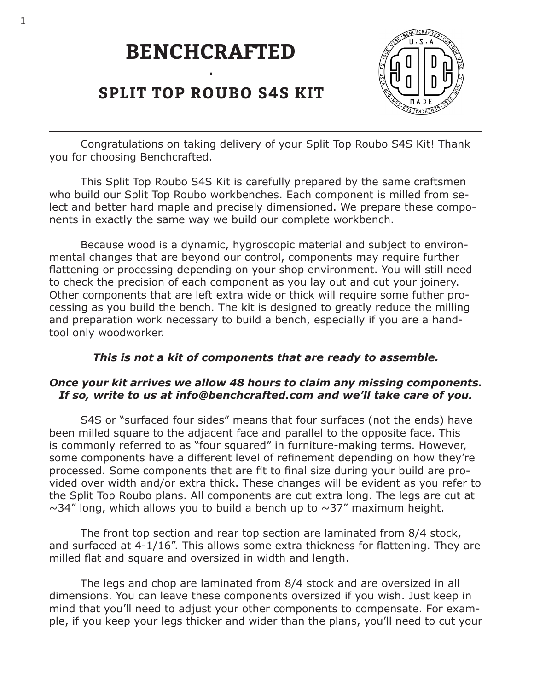# **BENCHCRAFTED**



## **SPLIT TOP ROUBO S4S KIT**

•

Congratulations on taking delivery of your Split Top Roubo S4S Kit! Thank you for choosing Benchcrafted.

This Split Top Roubo S4S Kit is carefully prepared by the same craftsmen who build our Split Top Roubo workbenches. Each component is milled from select and better hard maple and precisely dimensioned. We prepare these components in exactly the same way we build our complete workbench.

Because wood is a dynamic, hygroscopic material and subject to environmental changes that are beyond our control, components may require further flattening or processing depending on your shop environment. You will still need to check the precision of each component as you lay out and cut your joinery. Other components that are left extra wide or thick will require some futher processing as you build the bench. The kit is designed to greatly reduce the milling and preparation work necessary to build a bench, especially if you are a handtool only woodworker.

### *This is not a kit of components that are ready to assemble.*

### *Once your kit arrives we allow 48 hours to claim any missing components. If so, write to us at info@benchcrafted.com and we'll take care of you.*

S4S or "surfaced four sides" means that four surfaces (not the ends) have been milled square to the adjacent face and parallel to the opposite face. This is commonly referred to as "four squared" in furniture-making terms. However, some components have a different level of refinement depending on how they're processed. Some components that are fit to final size during your build are provided over width and/or extra thick. These changes will be evident as you refer to the Split Top Roubo plans. All components are cut extra long. The legs are cut at  $\sim$ 34" long, which allows you to build a bench up to  $\sim$ 37" maximum height.

The front top section and rear top section are laminated from 8/4 stock, and surfaced at 4-1/16". This allows some extra thickness for flattening. They are milled flat and square and oversized in width and length.

The legs and chop are laminated from 8/4 stock and are oversized in all dimensions. You can leave these components oversized if you wish. Just keep in mind that you'll need to adjust your other components to compensate. For example, if you keep your legs thicker and wider than the plans, you'll need to cut your